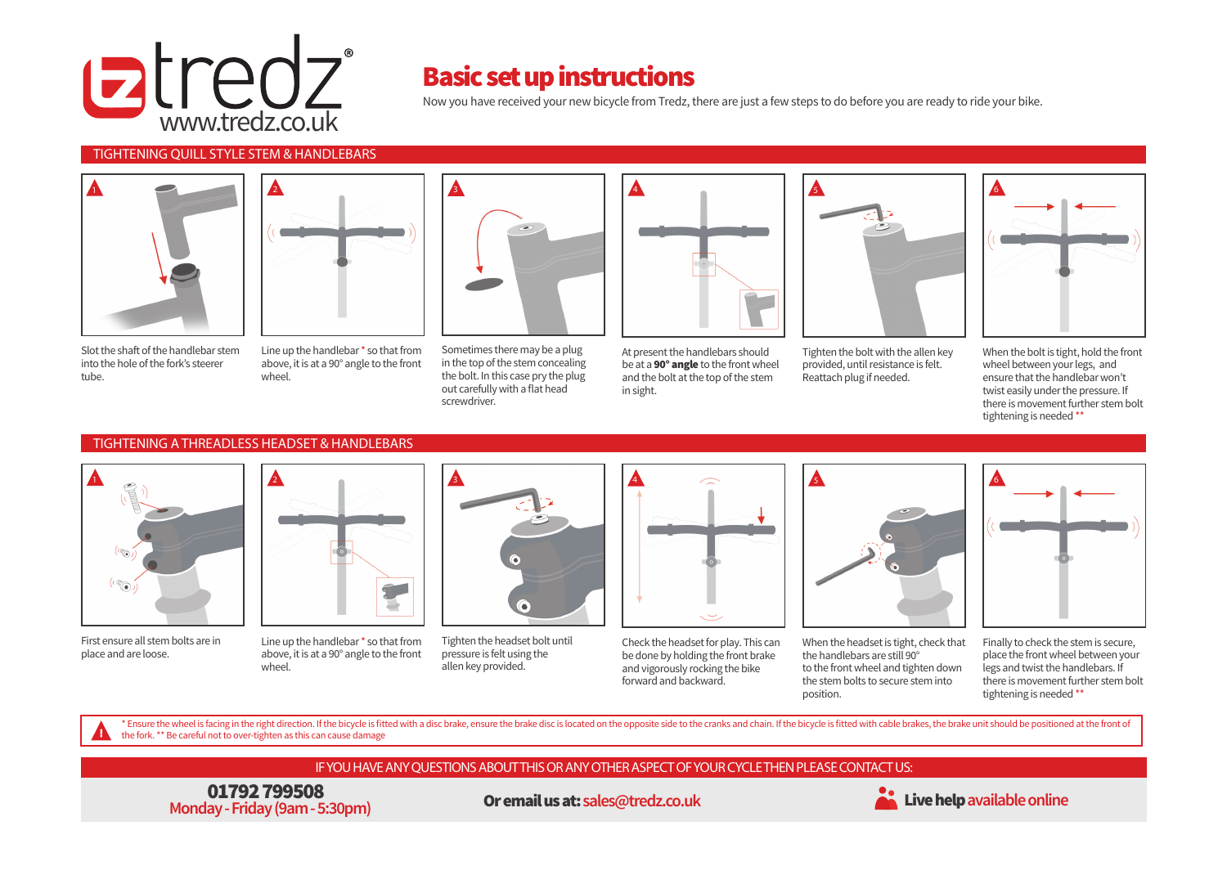

## Basic set up instructions

Now you have received your new bicycle from Tredz, there are just a few steps to do before you are ready to ride your bike.

### TIGHTENING QUILL STYLE STEM & HANDLEBARS



Slot the shaft of the handlebar stem into the hole of the fork's steerer tube.



Line up the handlebar \* so that from above, it is at a 90° angle to the front wheel.



Sometimes there may be a plug in the top of the stem concealing the bolt. In this case pry the plug out carefully with a flat head screwdriver.



At present the handlebars should be at a **90° angle** to the front wheel and the bolt at the top of the stem in sight.



Tighten the bolt with the allen key provided, until resistance is felt. Reattach plug if needed.



When the bolt is tight, hold the front wheel between your legs, and ensure that the handlebar won't twist easily under the pressure. If there is movement further stem bolt tightening is needed \*\*

#### TIGHTENING A THREADLESS HEADSET & HANDLEBARS



First ensure all stem bolts are in place and are loose.



Line up the handlebar \* so that from above, it is at a 90° angle to the front wheel.



Tighten the headset bolt until pressure is felt using the allen key provided.



Check the headset for play. This can be done by holding the front brake and vigorously rocking the bike forward and backward.



When the headset is tight, check that the handlebars are still 90° to the front wheel and tighten down the stem bolts to secure stem into position.



Finally to check the stem is secure, place the front wheel between your legs and twist the handlebars. If there is movement further stem bolt tightening is needed \*\*

\* Ensure the wheel is facing in the right direction. If the bicycle is fitted with a disc brake, ensure the brake disc is located on the opposite side to the cranks and chain. If the bicycle is fitted with cable brakes, th the fork. \*\* Be careful not to over-tighten as this can cause damage

### IF YOU HAVE ANY QUESTIONS ABOUT THIS OR ANY OTHER ASPECT OF YOUR CYCLE THEN PLEASE CONTACT US:

01792 799508 **Monday - Friday (9am - 5:30pm)** 

Or email us at:**sales@tredz.co.uk** Live help**available online**